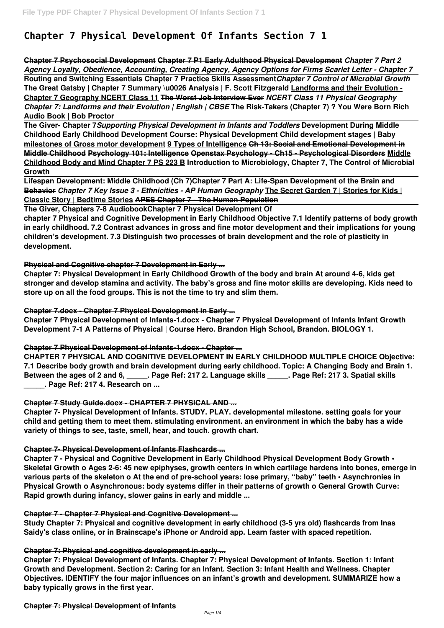# **Chapter 7 Physical Development Of Infants Section 7 1**

**Chapter 7 Psychosocial Development Chapter 7 P1 Early Adulthood Physical Development** *Chapter 7 Part 2 Agency Loyalty, Obedience, Accounting, Creating Agency, Agency Options for Firms Scarlet Letter - Chapter 7* **Routing and Switching Essentials Chapter 7 Practice Skills Assessment***Chapter 7 Control of Microbial Growth* **The Great Gatsby | Chapter 7 Summary \u0026 Analysis | F. Scott Fitzgerald Landforms and their Evolution - Chapter 7 Geography NCERT Class 11 The Worst Job Interview Ever** *NCERT Class 11 Physical Geography Chapter 7: Landforms and their Evolution | English | CBSE* **The Risk-Takers (Chapter 7) ? You Were Born Rich Audio Book | Bob Proctor**

**The Giver- Chapter 7***Supporting Physical Development in Infants and Toddlers* **Development During Middle Childhood Early Childhood Development Course: Physical Development Child development stages | Baby milestones of Gross motor development 9 Types of Intelligence Ch 13: Social and Emotional Development in Middle Childhood Psychology 101: Intelligence Openstax Psychology - Ch15 - Psychological Disorders Middle Childhood Body and Mind Chapter 7 PS 223 B Introduction to Microbiology, Chapter 7, The Control of Microbial Growth** 

**Lifespan Development: Middle Childhood (Ch 7)Chapter 7 Part A: Life-Span Development of the Brain and Behavior** *Chapter 7 Key Issue 3 - Ethnicities - AP Human Geography* **The Secret Garden 7 | Stories for Kids | Classic Story | Bedtime Stories APES Chapter 7 - The Human Population**

**The Giver, Chapters 7-8 AudiobookChapter 7 Physical Development Of**

**chapter 7 Physical and Cognitive Development in Early Childhood Objective 7.1 Identify patterns of body growth in early childhood. 7.2 Contrast advances in gross and fine motor development and their implications for young children's development. 7.3 Distinguish two processes of brain development and the role of plasticity in development.**

### **Physical and Cognitive chapter 7 Development in Early ...**

**Chapter 7: Physical Development in Early Childhood Growth of the body and brain At around 4-6, kids get stronger and develop stamina and activity. The baby's gross and fine motor skills are developing. Kids need to store up on all the food groups. This is not the time to try and slim them.**

### **Chapter 7.docx - Chapter 7 Physical Development in Early ...**

**Chapter 7 Physical Development of Infants-1.docx - Chapter 7 Physical Development of Infants Infant Growth Development 7-1 A Patterns of Physical | Course Hero. Brandon High School, Brandon. BIOLOGY 1.**

### **Chapter 7 Physical Development of Infants-1.docx - Chapter ...**

**CHAPTER 7 PHYSICAL AND COGNITIVE DEVELOPMENT IN EARLY CHILDHOOD MULTIPLE CHOICE Objective: 7.1 Describe body growth and brain development during early childhood. Topic: A Changing Body and Brain 1. Between the ages of 2 and 6, \_\_\_\_\_. Page Ref: 217 2. Language skills \_\_\_\_\_. Page Ref: 217 3. Spatial skills \_\_\_\_\_. Page Ref: 217 4. Research on ...**

### **Chapter 7 Study Guide.docx - CHAPTER 7 PHYSICAL AND ...**

**Chapter 7- Physical Development of Infants. STUDY. PLAY. developmental milestone. setting goals for your child and getting them to meet them. stimulating environment. an environment in which the baby has a wide variety of things to see, taste, smell, hear, and touch. growth chart.**

### **Chapter 7- Physical Development of Infants Flashcards ...**

**Chapter 7 - Physical and Cognitive Development in Early Childhood Physical Development Body Growth • Skeletal Growth o Ages 2-6: 45 new epiphyses, growth centers in which cartilage hardens into bones, emerge in various parts of the skeleton o At the end of pre-school years: lose primary, "baby" teeth • Asynchronies in Physical Growth o Asynchronous: body systems differ in their patterns of growth o General Growth Curve: Rapid growth during infancy, slower gains in early and middle ...**

#### **Chapter 7 - Chapter 7 Physical and Cognitive Development ...**

**Study Chapter 7: Physical and cognitive development in early childhood (3-5 yrs old) flashcards from Inas Saidy's class online, or in Brainscape's iPhone or Android app. Learn faster with spaced repetition.**

#### **Chapter 7: Physical and cognitive development in early ...**

**Chapter 7: Physical Development of Infants. Chapter 7: Physical Development of Infants. Section 1: Infant Growth and Development. Section 2: Caring for an Infant. Section 3: Infant Health and Wellness. Chapter Objectives. IDENTIFY the four major influences on an infant's growth and development. SUMMARIZE how a baby typically grows in the first year.**

#### **Chapter 7: Physical Development of Infants**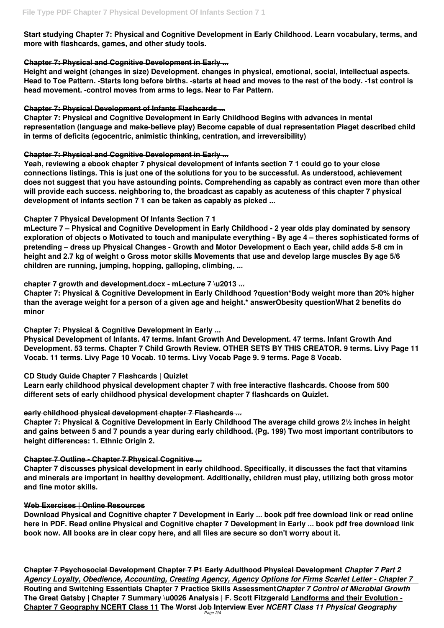**Start studying Chapter 7: Physical and Cognitive Development in Early Childhood. Learn vocabulary, terms, and more with flashcards, games, and other study tools.**

#### **Chapter 7: Physical and Cognitive Development in Early ...**

**Height and weight (changes in size) Development. changes in physical, emotional, social, intellectual aspects. Head to Toe Pattern. -Starts long before births. -starts at head and moves to the rest of the body. -1st control is head movement. -control moves from arms to legs. Near to Far Pattern.**

#### **Chapter 7: Physical Development of Infants Flashcards ...**

**Chapter 7: Physical and Cognitive Development in Early Childhood Begins with advances in mental representation (language and make-believe play) Become capable of dual representation Piaget described child in terms of deficits (egocentric, animistic thinking, centration, and irreversibility)**

### **Chapter 7: Physical and Cognitive Development in Early ...**

**Yeah, reviewing a ebook chapter 7 physical development of infants section 7 1 could go to your close connections listings. This is just one of the solutions for you to be successful. As understood, achievement does not suggest that you have astounding points. Comprehending as capably as contract even more than other will provide each success. neighboring to, the broadcast as capably as acuteness of this chapter 7 physical development of infants section 7 1 can be taken as capably as picked ...**

#### **Chapter 7 Physical Development Of Infants Section 7 1**

**mLecture 7 – Physical and Cognitive Development in Early Childhood - 2 year olds play dominated by sensory exploration of objects o Motivated to touch and manipulate everything - By age 4 – theres sophisticated forms of pretending – dress up Physical Changes - Growth and Motor Development o Each year, child adds 5-8 cm in height and 2.7 kg of weight o Gross motor skills Movements that use and develop large muscles By age 5/6 children are running, jumping, hopping, galloping, climbing, ...**

**Chapter 7 Psychosocial Development Chapter 7 P1 Early Adulthood Physical Development** *Chapter 7 Part 2 Agency Loyalty, Obedience, Accounting, Creating Agency, Agency Options for Firms Scarlet Letter - Chapter 7* **Routing and Switching Essentials Chapter 7 Practice Skills Assessment***Chapter 7 Control of Microbial Growth* **The Great Gatsby | Chapter 7 Summary \u0026 Analysis | F. Scott Fitzgerald Landforms and their Evolution - Chapter 7 Geography NCERT Class 11 The Worst Job Interview Ever** *NCERT Class 11 Physical Geography* Page 2/4

### **chapter 7 growth and development.docx - mLecture 7 \u2013 ...**

**Chapter 7: Physical & Cognitive Development in Early Childhood ?question\*Body weight more than 20% higher than the average weight for a person of a given age and height.\* answerObesity questionWhat 2 benefits do minor**

### **Chapter 7: Physical & Cognitive Development in Early ...**

**Physical Development of Infants. 47 terms. Infant Growth And Development. 47 terms. Infant Growth And Development. 53 terms. Chapter 7 Child Growth Review. OTHER SETS BY THIS CREATOR. 9 terms. Livy Page 11 Vocab. 11 terms. Livy Page 10 Vocab. 10 terms. Livy Vocab Page 9. 9 terms. Page 8 Vocab.**

### **CD Study Guide Chapter 7 Flashcards | Quizlet**

**Learn early childhood physical development chapter 7 with free interactive flashcards. Choose from 500 different sets of early childhood physical development chapter 7 flashcards on Quizlet.**

### **early childhood physical development chapter 7 Flashcards ...**

**Chapter 7: Physical & Cognitive Development in Early Childhood The average child grows 2½ inches in height and gains between 5 and 7 pounds a year during early childhood. (Pg. 199) Two most important contributors to height differences: 1. Ethnic Origin 2.**

#### **Chapter 7 Outline - Chapter 7 Physical Cognitive ...**

**Chapter 7 discusses physical development in early childhood. Specifically, it discusses the fact that vitamins**

**and minerals are important in healthy development. Additionally, children must play, utilizing both gross motor and fine motor skills.**

#### **Web Exercises | Online Resources**

**Download Physical and Cognitive chapter 7 Development in Early ... book pdf free download link or read online here in PDF. Read online Physical and Cognitive chapter 7 Development in Early ... book pdf free download link book now. All books are in clear copy here, and all files are secure so don't worry about it.**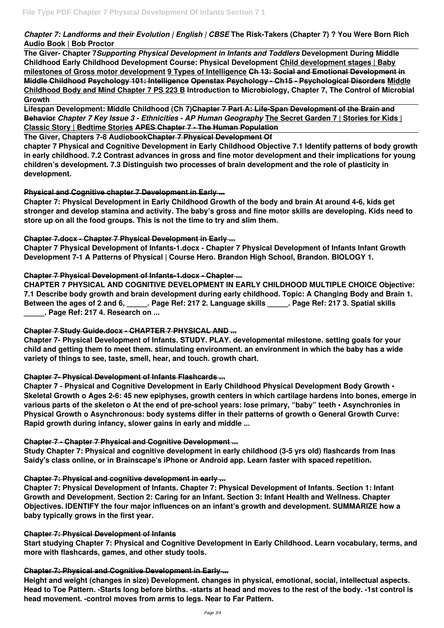*Chapter 7: Landforms and their Evolution | English | CBSE* **The Risk-Takers (Chapter 7) ? You Were Born Rich Audio Book | Bob Proctor**

**The Giver- Chapter 7***Supporting Physical Development in Infants and Toddlers* **Development During Middle Childhood Early Childhood Development Course: Physical Development Child development stages | Baby milestones of Gross motor development 9 Types of Intelligence Ch 13: Social and Emotional Development in Middle Childhood Psychology 101: Intelligence Openstax Psychology - Ch15 - Psychological Disorders Middle Childhood Body and Mind Chapter 7 PS 223 B Introduction to Microbiology, Chapter 7, The Control of Microbial Growth** 

**Lifespan Development: Middle Childhood (Ch 7)Chapter 7 Part A: Life-Span Development of the Brain and Behavior** *Chapter 7 Key Issue 3 - Ethnicities - AP Human Geography* **The Secret Garden 7 | Stories for Kids | Classic Story | Bedtime Stories APES Chapter 7 - The Human Population**

**The Giver, Chapters 7-8 AudiobookChapter 7 Physical Development Of**

**chapter 7 Physical and Cognitive Development in Early Childhood Objective 7.1 Identify patterns of body growth in early childhood. 7.2 Contrast advances in gross and fine motor development and their implications for young children's development. 7.3 Distinguish two processes of brain development and the role of plasticity in development.**

## **Physical and Cognitive chapter 7 Development in Early ...**

**Chapter 7: Physical Development in Early Childhood Growth of the body and brain At around 4-6, kids get stronger and develop stamina and activity. The baby's gross and fine motor skills are developing. Kids need to store up on all the food groups. This is not the time to try and slim them.**

### **Chapter 7.docx - Chapter 7 Physical Development in Early ...**

**Chapter 7 Physical Development of Infants-1.docx - Chapter 7 Physical Development of Infants Infant Growth Development 7-1 A Patterns of Physical | Course Hero. Brandon High School, Brandon. BIOLOGY 1.**

# **Chapter 7 Physical Development of Infants-1.docx - Chapter ...**

**CHAPTER 7 PHYSICAL AND COGNITIVE DEVELOPMENT IN EARLY CHILDHOOD MULTIPLE CHOICE Objective: 7.1 Describe body growth and brain development during early childhood. Topic: A Changing Body and Brain 1. Between the ages of 2 and 6, \_\_\_\_\_. Page Ref: 217 2. Language skills \_\_\_\_\_. Page Ref: 217 3. Spatial skills \_\_\_\_\_. Page Ref: 217 4. Research on ...**

### **Chapter 7 Study Guide.docx - CHAPTER 7 PHYSICAL AND ...**

**Chapter 7- Physical Development of Infants. STUDY. PLAY. developmental milestone. setting goals for your child and getting them to meet them. stimulating environment. an environment in which the baby has a wide variety of things to see, taste, smell, hear, and touch. growth chart.**

### **Chapter 7- Physical Development of Infants Flashcards ...**

**Chapter 7 - Physical and Cognitive Development in Early Childhood Physical Development Body Growth • Skeletal Growth o Ages 2-6: 45 new epiphyses, growth centers in which cartilage hardens into bones, emerge in various parts of the skeleton o At the end of pre-school years: lose primary, "baby" teeth • Asynchronies in Physical Growth o Asynchronous: body systems differ in their patterns of growth o General Growth Curve: Rapid growth during infancy, slower gains in early and middle ...**

### **Chapter 7 - Chapter 7 Physical and Cognitive Development ...**

**Study Chapter 7: Physical and cognitive development in early childhood (3-5 yrs old) flashcards from Inas Saidy's class online, or in Brainscape's iPhone or Android app. Learn faster with spaced repetition.**

#### **Chapter 7: Physical and cognitive development in early ...**

**Chapter 7: Physical Development of Infants. Chapter 7: Physical Development of Infants. Section 1: Infant Growth and Development. Section 2: Caring for an Infant. Section 3: Infant Health and Wellness. Chapter Objectives. IDENTIFY the four major influences on an infant's growth and development. SUMMARIZE how a baby typically grows in the first year.**

#### **Chapter 7: Physical Development of Infants**

**Start studying Chapter 7: Physical and Cognitive Development in Early Childhood. Learn vocabulary, terms, and more with flashcards, games, and other study tools.**

#### **Chapter 7: Physical and Cognitive Development in Early ...**

**Height and weight (changes in size) Development. changes in physical, emotional, social, intellectual aspects. Head to Toe Pattern. -Starts long before births. -starts at head and moves to the rest of the body. -1st control is head movement. -control moves from arms to legs. Near to Far Pattern.**